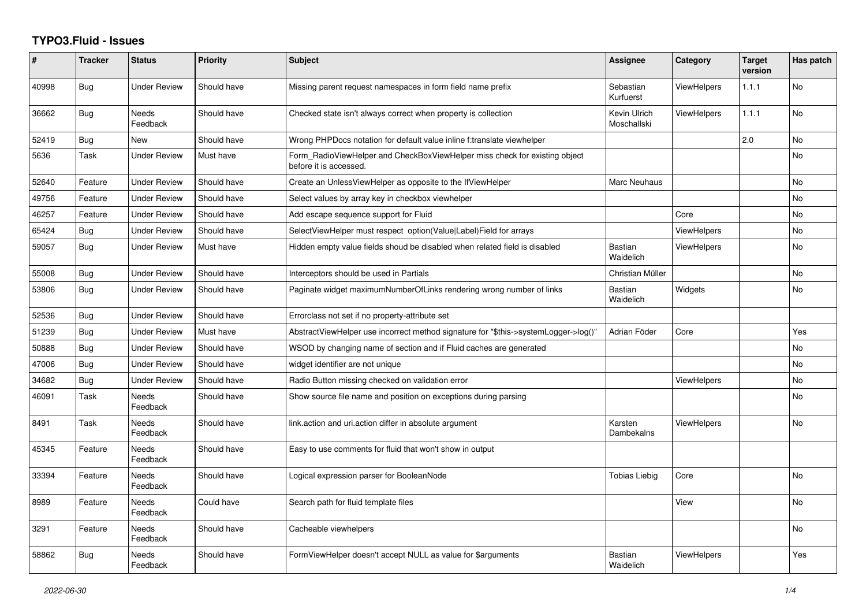## **TYPO3.Fluid - Issues**

| #     | <b>Tracker</b> | <b>Status</b>            | Priority    | <b>Subject</b>                                                                                       | Assignee                    | Category           | <b>Target</b><br>version | Has patch |
|-------|----------------|--------------------------|-------------|------------------------------------------------------------------------------------------------------|-----------------------------|--------------------|--------------------------|-----------|
| 40998 | Bug            | <b>Under Review</b>      | Should have | Missing parent request namespaces in form field name prefix                                          | Sebastian<br>Kurfuerst      | <b>ViewHelpers</b> | 1.1.1                    | <b>No</b> |
| 36662 | <b>Bug</b>     | <b>Needs</b><br>Feedback | Should have | Checked state isn't always correct when property is collection                                       | Kevin Ulrich<br>Moschallski | ViewHelpers        | 1.1.1                    | <b>No</b> |
| 52419 | Bug            | New                      | Should have | Wrong PHPDocs notation for default value inline f:translate viewhelper                               |                             |                    | 2.0                      | No        |
| 5636  | Task           | <b>Under Review</b>      | Must have   | Form_RadioViewHelper and CheckBoxViewHelper miss check for existing object<br>before it is accessed. |                             |                    |                          | <b>No</b> |
| 52640 | Feature        | <b>Under Review</b>      | Should have | Create an UnlessViewHelper as opposite to the IfViewHelper                                           | Marc Neuhaus                |                    |                          | No        |
| 49756 | Feature        | <b>Under Review</b>      | Should have | Select values by array key in checkbox viewhelper                                                    |                             |                    |                          | <b>No</b> |
| 46257 | Feature        | <b>Under Review</b>      | Should have | Add escape sequence support for Fluid                                                                |                             | Core               |                          | No        |
| 65424 | <b>Bug</b>     | <b>Under Review</b>      | Should have | SelectViewHelper must respect option(Value Label)Field for arrays                                    |                             | ViewHelpers        |                          | <b>No</b> |
| 59057 | <b>Bug</b>     | <b>Under Review</b>      | Must have   | Hidden empty value fields shoud be disabled when related field is disabled                           | <b>Bastian</b><br>Waidelich | ViewHelpers        |                          | <b>No</b> |
| 55008 | <b>Bug</b>     | <b>Under Review</b>      | Should have | Interceptors should be used in Partials                                                              | Christian Müller            |                    |                          | <b>No</b> |
| 53806 | Bug            | <b>Under Review</b>      | Should have | Paginate widget maximumNumberOfLinks rendering wrong number of links                                 | Bastian<br>Waidelich        | Widgets            |                          | <b>No</b> |
| 52536 | <b>Bug</b>     | <b>Under Review</b>      | Should have | Errorclass not set if no property-attribute set                                                      |                             |                    |                          |           |
| 51239 | Bug            | Under Review             | Must have   | AbstractViewHelper use incorrect method signature for "\$this->systemLogger->log()"                  | Adrian Föder                | Core               |                          | Yes       |
| 50888 | <b>Bug</b>     | <b>Under Review</b>      | Should have | WSOD by changing name of section and if Fluid caches are generated                                   |                             |                    |                          | <b>No</b> |
| 47006 | Bug            | <b>Under Review</b>      | Should have | widget identifier are not unique                                                                     |                             |                    |                          | <b>No</b> |
| 34682 | <b>Bug</b>     | Under Review             | Should have | Radio Button missing checked on validation error                                                     |                             | ViewHelpers        |                          | <b>No</b> |
| 46091 | Task           | Needs<br>Feedback        | Should have | Show source file name and position on exceptions during parsing                                      |                             |                    |                          | No        |
| 8491  | Task           | Needs<br>Feedback        | Should have | link.action and uri.action differ in absolute argument                                               | Karsten<br>Dambekalns       | <b>ViewHelpers</b> |                          | No.       |
| 45345 | Feature        | Needs<br>Feedback        | Should have | Easy to use comments for fluid that won't show in output                                             |                             |                    |                          |           |
| 33394 | Feature        | Needs<br>Feedback        | Should have | Logical expression parser for BooleanNode                                                            | <b>Tobias Liebig</b>        | Core               |                          | <b>No</b> |
| 8989  | Feature        | Needs<br>Feedback        | Could have  | Search path for fluid template files                                                                 |                             | View               |                          | No        |
| 3291  | Feature        | <b>Needs</b><br>Feedback | Should have | Cacheable viewhelpers                                                                                |                             |                    |                          | <b>No</b> |
| 58862 | Bug            | Needs<br>Feedback        | Should have | FormViewHelper doesn't accept NULL as value for \$arguments                                          | Bastian<br>Waidelich        | ViewHelpers        |                          | Yes       |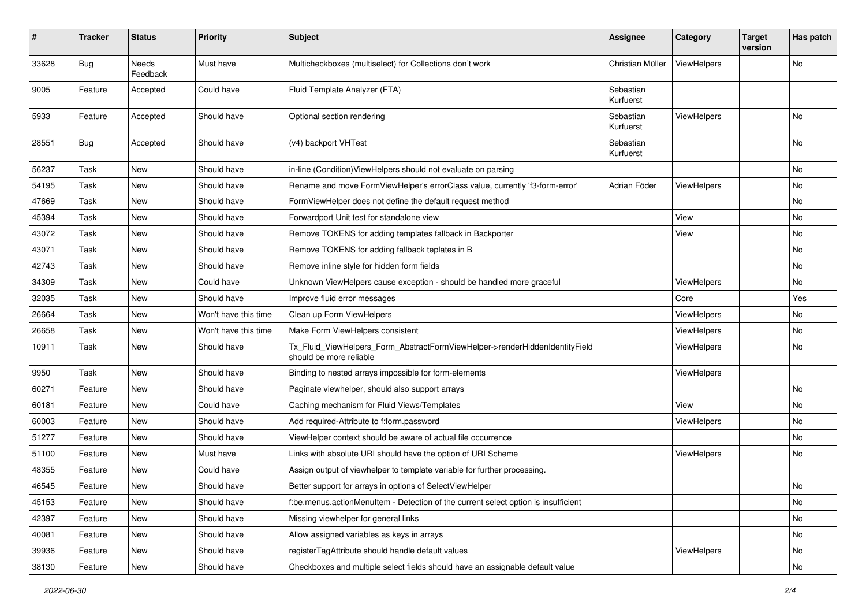| #     | <b>Tracker</b> | <b>Status</b>            | <b>Priority</b>      | Subject                                                                                                | Assignee               | Category           | <b>Target</b><br>version | Has patch |
|-------|----------------|--------------------------|----------------------|--------------------------------------------------------------------------------------------------------|------------------------|--------------------|--------------------------|-----------|
| 33628 | <b>Bug</b>     | <b>Needs</b><br>Feedback | Must have            | Multicheckboxes (multiselect) for Collections don't work                                               | Christian Müller       | ViewHelpers        |                          | No        |
| 9005  | Feature        | Accepted                 | Could have           | Fluid Template Analyzer (FTA)                                                                          | Sebastian<br>Kurfuerst |                    |                          |           |
| 5933  | Feature        | Accepted                 | Should have          | Optional section rendering                                                                             | Sebastian<br>Kurfuerst | ViewHelpers        |                          | No.       |
| 28551 | Bug            | Accepted                 | Should have          | (v4) backport VHTest                                                                                   | Sebastian<br>Kurfuerst |                    |                          | No        |
| 56237 | Task           | New                      | Should have          | in-line (Condition) View Helpers should not evaluate on parsing                                        |                        |                    |                          | No        |
| 54195 | Task           | New                      | Should have          | Rename and move FormViewHelper's errorClass value, currently 'f3-form-error'                           | Adrian Föder           | ViewHelpers        |                          | No        |
| 47669 | Task           | New                      | Should have          | FormViewHelper does not define the default request method                                              |                        |                    |                          | No        |
| 45394 | Task           | New                      | Should have          | Forwardport Unit test for standalone view                                                              |                        | View               |                          | No        |
| 43072 | Task           | New                      | Should have          | Remove TOKENS for adding templates fallback in Backporter                                              |                        | View               |                          | No        |
| 43071 | Task           | New                      | Should have          | Remove TOKENS for adding fallback teplates in B                                                        |                        |                    |                          | No        |
| 42743 | Task           | New                      | Should have          | Remove inline style for hidden form fields                                                             |                        |                    |                          | No        |
| 34309 | Task           | New                      | Could have           | Unknown ViewHelpers cause exception - should be handled more graceful                                  |                        | ViewHelpers        |                          | No        |
| 32035 | Task           | New                      | Should have          | Improve fluid error messages                                                                           |                        | Core               |                          | Yes       |
| 26664 | Task           | New                      | Won't have this time | Clean up Form ViewHelpers                                                                              |                        | ViewHelpers        |                          | No        |
| 26658 | Task           | New                      | Won't have this time | Make Form ViewHelpers consistent                                                                       |                        | ViewHelpers        |                          | No        |
| 10911 | Task           | New                      | Should have          | Tx_Fluid_ViewHelpers_Form_AbstractFormViewHelper->renderHiddenIdentityField<br>should be more reliable |                        | ViewHelpers        |                          | No        |
| 9950  | Task           | New                      | Should have          | Binding to nested arrays impossible for form-elements                                                  |                        | ViewHelpers        |                          |           |
| 60271 | Feature        | New                      | Should have          | Paginate viewhelper, should also support arrays                                                        |                        |                    |                          | No        |
| 60181 | Feature        | New                      | Could have           | Caching mechanism for Fluid Views/Templates                                                            |                        | View               |                          | No        |
| 60003 | Feature        | New                      | Should have          | Add required-Attribute to f:form.password                                                              |                        | <b>ViewHelpers</b> |                          | No        |
| 51277 | Feature        | New                      | Should have          | ViewHelper context should be aware of actual file occurrence                                           |                        |                    |                          | No        |
| 51100 | Feature        | New                      | Must have            | Links with absolute URI should have the option of URI Scheme                                           |                        | <b>ViewHelpers</b> |                          | No        |
| 48355 | Feature        | New                      | Could have           | Assign output of viewhelper to template variable for further processing.                               |                        |                    |                          |           |
| 46545 | Feature        | New                      | Should have          | Better support for arrays in options of SelectViewHelper                                               |                        |                    |                          | No        |
| 45153 | Feature        | <b>New</b>               | Should have          | f:be.menus.actionMenuItem - Detection of the current select option is insufficient                     |                        |                    |                          | No        |
| 42397 | Feature        | New                      | Should have          | Missing viewhelper for general links                                                                   |                        |                    |                          | No        |
| 40081 | Feature        | New                      | Should have          | Allow assigned variables as keys in arrays                                                             |                        |                    |                          | No        |
| 39936 | Feature        | New                      | Should have          | registerTagAttribute should handle default values                                                      |                        | ViewHelpers        |                          | No        |
| 38130 | Feature        | New                      | Should have          | Checkboxes and multiple select fields should have an assignable default value                          |                        |                    |                          | No        |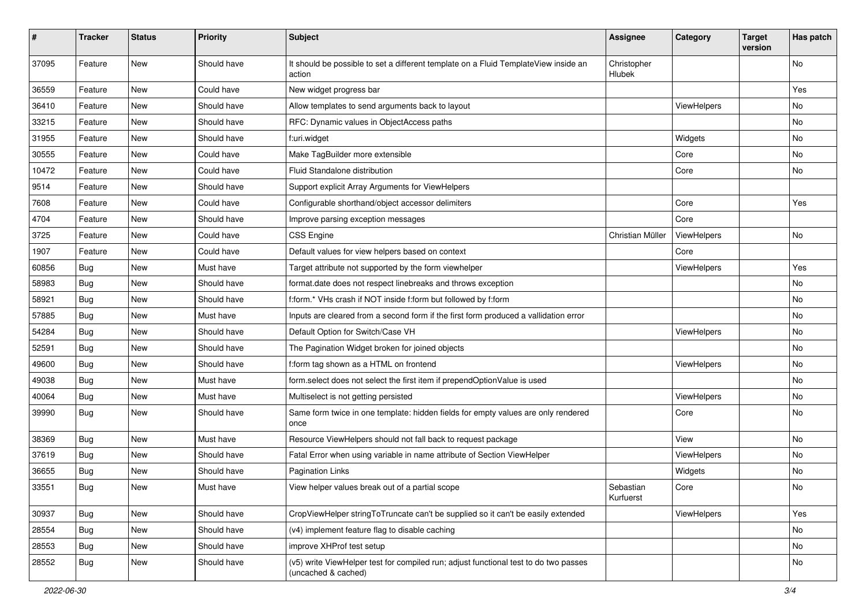| #     | <b>Tracker</b> | <b>Status</b> | <b>Priority</b> | Subject                                                                                                     | <b>Assignee</b>        | Category    | <b>Target</b><br>version | Has patch |
|-------|----------------|---------------|-----------------|-------------------------------------------------------------------------------------------------------------|------------------------|-------------|--------------------------|-----------|
| 37095 | Feature        | New           | Should have     | It should be possible to set a different template on a Fluid TemplateView inside an<br>action               | Christopher<br>Hlubek  |             |                          | No        |
| 36559 | Feature        | New           | Could have      | New widget progress bar                                                                                     |                        |             |                          | Yes       |
| 36410 | Feature        | New           | Should have     | Allow templates to send arguments back to layout                                                            |                        | ViewHelpers |                          | No        |
| 33215 | Feature        | New           | Should have     | RFC: Dynamic values in ObjectAccess paths                                                                   |                        |             |                          | No        |
| 31955 | Feature        | <b>New</b>    | Should have     | f:uri.widget                                                                                                |                        | Widgets     |                          | No        |
| 30555 | Feature        | New           | Could have      | Make TagBuilder more extensible                                                                             |                        | Core        |                          | No        |
| 10472 | Feature        | New           | Could have      | Fluid Standalone distribution                                                                               |                        | Core        |                          | No        |
| 9514  | Feature        | New           | Should have     | Support explicit Array Arguments for ViewHelpers                                                            |                        |             |                          |           |
| 7608  | Feature        | <b>New</b>    | Could have      | Configurable shorthand/object accessor delimiters                                                           |                        | Core        |                          | Yes       |
| 4704  | Feature        | New           | Should have     | Improve parsing exception messages                                                                          |                        | Core        |                          |           |
| 3725  | Feature        | New           | Could have      | <b>CSS Engine</b>                                                                                           | Christian Müller       | ViewHelpers |                          | No        |
| 1907  | Feature        | New           | Could have      | Default values for view helpers based on context                                                            |                        | Core        |                          |           |
| 60856 | Bug            | New           | Must have       | Target attribute not supported by the form viewhelper                                                       |                        | ViewHelpers |                          | Yes       |
| 58983 | Bug            | New           | Should have     | format.date does not respect linebreaks and throws exception                                                |                        |             |                          | No        |
| 58921 | Bug            | New           | Should have     | f:form.* VHs crash if NOT inside f:form but followed by f:form                                              |                        |             |                          | No        |
| 57885 | Bug            | New           | Must have       | Inputs are cleared from a second form if the first form produced a vallidation error                        |                        |             |                          | No        |
| 54284 | Bug            | New           | Should have     | Default Option for Switch/Case VH                                                                           |                        | ViewHelpers |                          | No        |
| 52591 | Bug            | New           | Should have     | The Pagination Widget broken for joined objects                                                             |                        |             |                          | No        |
| 49600 | Bug            | New           | Should have     | f:form tag shown as a HTML on frontend                                                                      |                        | ViewHelpers |                          | No        |
| 49038 | Bug            | New           | Must have       | form.select does not select the first item if prependOptionValue is used                                    |                        |             |                          | No        |
| 40064 | Bug            | New           | Must have       | Multiselect is not getting persisted                                                                        |                        | ViewHelpers |                          | No        |
| 39990 | Bug            | New           | Should have     | Same form twice in one template: hidden fields for empty values are only rendered<br>once                   |                        | Core        |                          | No        |
| 38369 | Bug            | New           | Must have       | Resource ViewHelpers should not fall back to request package                                                |                        | View        |                          | No        |
| 37619 | Bug            | New           | Should have     | Fatal Error when using variable in name attribute of Section ViewHelper                                     |                        | ViewHelpers |                          | No        |
| 36655 | Bug            | New           | Should have     | <b>Pagination Links</b>                                                                                     |                        | Widgets     |                          | No        |
| 33551 | Bug            | New           | Must have       | View helper values break out of a partial scope                                                             | Sebastian<br>Kurfuerst | Core        |                          | No        |
| 30937 | Bug            | New           | Should have     | CropViewHelper stringToTruncate can't be supplied so it can't be easily extended                            |                        | ViewHelpers |                          | Yes       |
| 28554 | <b>Bug</b>     | New           | Should have     | (v4) implement feature flag to disable caching                                                              |                        |             |                          | No        |
| 28553 | Bug            | New           | Should have     | improve XHProf test setup                                                                                   |                        |             |                          | No        |
| 28552 | Bug            | New           | Should have     | (v5) write ViewHelper test for compiled run; adjust functional test to do two passes<br>(uncached & cached) |                        |             |                          | No        |